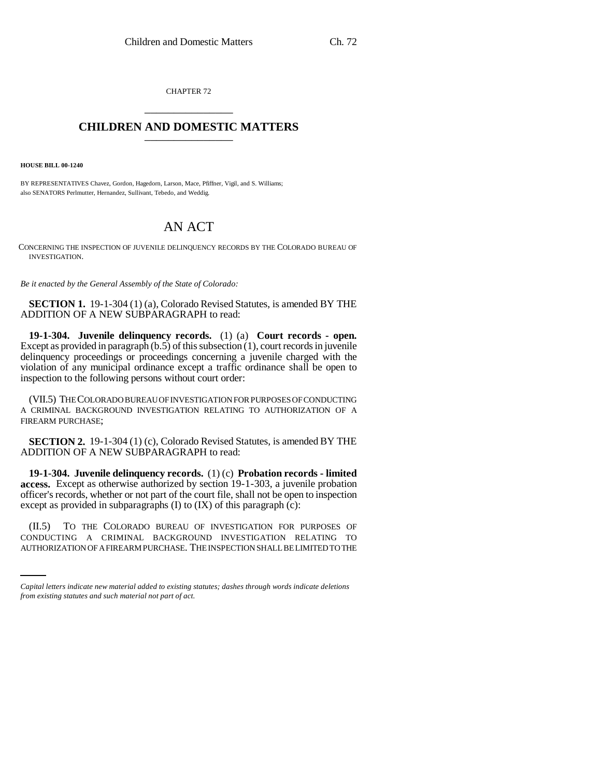CHAPTER 72 \_\_\_\_\_\_\_\_\_\_\_\_\_\_\_

## **CHILDREN AND DOMESTIC MATTERS** \_\_\_\_\_\_\_\_\_\_\_\_\_\_\_

**HOUSE BILL 00-1240** 

BY REPRESENTATIVES Chavez, Gordon, Hagedorn, Larson, Mace, Pfiffner, Vigil, and S. Williams; also SENATORS Perlmutter, Hernandez, Sullivant, Tebedo, and Weddig.

## AN ACT

CONCERNING THE INSPECTION OF JUVENILE DELINQUENCY RECORDS BY THE COLORADO BUREAU OF INVESTIGATION.

*Be it enacted by the General Assembly of the State of Colorado:*

**SECTION 1.** 19-1-304 (1) (a), Colorado Revised Statutes, is amended BY THE ADDITION OF A NEW SUBPARAGRAPH to read:

**19-1-304. Juvenile delinquency records.** (1) (a) **Court records - open.** Except as provided in paragraph  $(b.5)$  of this subsection  $(1)$ , court records in juvenile delinquency proceedings or proceedings concerning a juvenile charged with the violation of any municipal ordinance except a traffic ordinance shall be open to inspection to the following persons without court order:

(VII.5) THE COLORADO BUREAU OF INVESTIGATION FOR PURPOSES OF CONDUCTING A CRIMINAL BACKGROUND INVESTIGATION RELATING TO AUTHORIZATION OF A FIREARM PURCHASE;

**SECTION 2.** 19-1-304 (1) (c), Colorado Revised Statutes, is amended BY THE ADDITION OF A NEW SUBPARAGRAPH to read:

**19-1-304. Juvenile delinquency records.** (1) (c) **Probation records - limited access.** Except as otherwise authorized by section 19-1-303, a juvenile probation officer's records, whether or not part of the court file, shall not be open to inspection except as provided in subparagraphs (I) to (IX) of this paragraph (c):

 $(II.5)$ TO THE COLORADO BUREAU OF INVESTIGATION FOR PURPOSES OF CONDUCTING A CRIMINAL BACKGROUND INVESTIGATION RELATING TO AUTHORIZATION OF A FIREARM PURCHASE. THE INSPECTION SHALL BE LIMITED TO THE

*Capital letters indicate new material added to existing statutes; dashes through words indicate deletions from existing statutes and such material not part of act.*